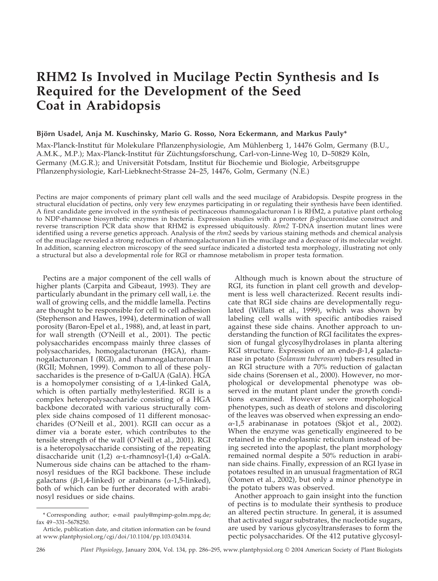# **RHM2 Is Involved in Mucilage Pectin Synthesis and Is Required for the Development of the Seed Coat in Arabidopsis**

# Björn Usadel, Anja M. Kuschinsky, Mario G. Rosso, Nora Eckermann, and Markus Pauly\*

Max-Planck-Institut für Molekulare Pflanzenphysiologie, Am Mühlenberg 1, 14476 Golm, Germany (B.U., A.M.K., M.P.); Max-Planck-Institut für Züchtungsforschung, Carl-von-Linne-Weg 10, D–50829 Köln, Germany (M.G.R.); and Universität Potsdam, Institut für Biochemie und Biologie, Arbeitsgruppe Pflanzenphysiologie, Karl-Liebknecht-Strasse 24–25, 14476, Golm, Germany (N.E.)

Pectins are major components of primary plant cell walls and the seed mucilage of Arabidopsis. Despite progress in the structural elucidation of pectins, only very few enzymes participating in or regulating their synthesis have been identified. A first candidate gene involved in the synthesis of pectinaceous rhamnogalacturonan I is RHM2, a putative plant ortholog to NDP-rhamnose biosynthetic enzymes in bacteria. Expression studies with a promoter  $\beta$ -glucuronidase construct and reverse transcription PCR data show that RHM2 is expressed ubiquitously. *Rhm2* T-DNA insertion mutant lines were identified using a reverse genetics approach. Analysis of the *rhm2* seeds by various staining methods and chemical analysis of the mucilage revealed a strong reduction of rhamnogalacturonan I in the mucilage and a decrease of its molecular weight. In addition, scanning electron microscopy of the seed surface indicated a distorted testa morphology, illustrating not only a structural but also a developmental role for RGI or rhamnose metabolism in proper testa formation.

Pectins are a major component of the cell walls of higher plants (Carpita and Gibeaut, 1993). They are particularly abundant in the primary cell wall, i.e. the wall of growing cells, and the middle lamella. Pectins are thought to be responsible for cell to cell adhesion (Stephenson and Hawes, 1994), determination of wall porosity (Baron-Epel et al., 1988), and, at least in part, for wall strength (O'Neill et al., 2001). The pectic polysaccharides encompass mainly three classes of polysaccharides, homogalacturonan (HGA), rhamnogalacturonan I (RGI), and rhamnogalacturonan II (RGII; Mohnen, 1999). Common to all of these polysaccharides is the presence of  $p$ -GalUA (GalA). HGA is a homopolymer consisting of  $\alpha$  1,4-linked GalA, which is often partially methylesterified. RGII is a complex heteropolysaccharide consisting of a HGA backbone decorated with various structurally complex side chains composed of 11 different monosaccharides (O'Neill et al., 2001). RGII can occur as a dimer via a borate ester, which contributes to the tensile strength of the wall (O'Neill et al., 2001). RGI is a heteropolysaccharide consisting of the repeating disaccharide unit (1,2)  $\alpha$ -L-rhamnosyl-(1,4)  $\alpha$ -GalA. Numerous side chains can be attached to the rhamnosyl residues of the RGI backbone. These include galactans (β-1,4-linked) or arabinans (α-1,5-linked), both of which can be further decorated with arabinosyl residues or side chains.

Although much is known about the structure of RGI, its function in plant cell growth and development is less well characterized. Recent results indicate that RGI side chains are developmentally regulated (Willats et al., 1999), which was shown by labeling cell walls with specific antibodies raised against these side chains. Another approach to understanding the function of RGI facilitates the expression of fungal glycosylhydrolases in planta altering RGI structure. Expression of an endo- $\beta$ -1,4 galactanase in potato (*Solanum tuberosum*) tubers resulted in an RGI structure with a 70% reduction of galactan side chains (Sorensen et al., 2000). However, no morphological or developmental phenotype was observed in the mutant plant under the growth conditions examined. However severe morphological phenotypes, such as death of stolons and discoloring of the leaves was observed when expressing an endo- --1,5 arabinanase in potatoes (Skjot et al., 2002). When the enzyme was genetically engineered to be retained in the endoplasmic reticulum instead of being secreted into the apoplast, the plant morphology remained normal despite a 50% reduction in arabinan side chains. Finally, expression of an RGI lyase in potatoes resulted in an unusual fragmentation of RGI (Oomen et al., 2002), but only a minor phenotype in the potato tubers was observed.

Another approach to gain insight into the function of pectins is to modulate their synthesis to produce an altered pectin structure. In general, it is assumed that activated sugar substrates, the nucleotide sugars, are used by various glycosyltransferases to form the pectic polysaccharides. Of the 412 putative glycosyl-

<sup>\*</sup> Corresponding author; e-mail pauly@mpimp-golm.mpg.de; fax 49–331–5678250.

Article, publication date, and citation information can be found at www.plantphysiol.org/cgi/doi/10.1104/pp.103.034314.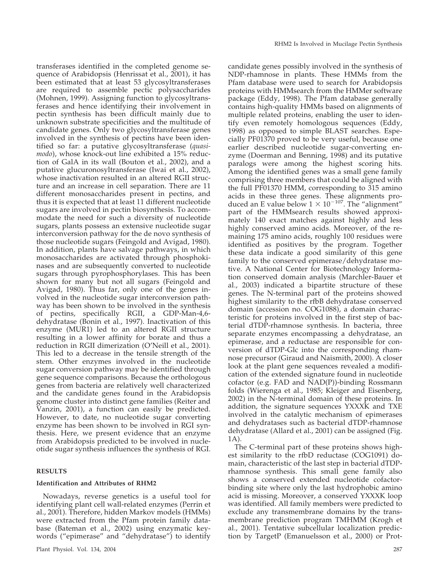transferases identified in the completed genome sequence of Arabidopsis (Henrissat et al., 2001), it has been estimated that at least 53 glycosyltransferases are required to assemble pectic polysaccharides (Mohnen, 1999). Assigning function to glycosyltransferases and hence identifying their involvement in pectin synthesis has been difficult mainly due to unknown substrate specificities and the multitude of candidate genes. Only two glycosyltransferase genes involved in the synthesis of pectins have been identified so far: a putative glycosyltransferase (*quasimodo*), whose knock-out line exhibited a 15% reduction of GalA in its wall (Bouton et al., 2002), and a putative glucuronosyltransferase (Iwai et al., 2002), whose inactivation resulted in an altered RGII structure and an increase in cell separation. There are 11 different monosaccharides present in pectins, and thus it is expected that at least 11 different nucleotide sugars are involved in pectin biosynthesis. To accommodate the need for such a diversity of nucleotide sugars, plants possess an extensive nucleotide sugar interconversion pathway for the de novo synthesis of those nucleotide sugars (Feingold and Avigad, 1980). In addition, plants have salvage pathways, in which monosaccharides are activated through phosphokinases and are subsequently converted to nucleotide sugars through pyrophosphorylases. This has been shown for many but not all sugars (Feingold and Avigad, 1980). Thus far, only one of the genes involved in the nucleotide sugar interconversion pathway has been shown to be involved in the synthesis of pectins, specifically RGII, a GDP-Man-4,6 dehydratase (Bonin et al., 1997). Inactivation of this enzyme (MUR1) led to an altered RGII structure resulting in a lower affinity for borate and thus a reduction in RGII dimerization (O'Neill et al., 2001). This led to a decrease in the tensile strength of the stem. Other enzymes involved in the nucleotide sugar conversion pathway may be identified through gene sequence comparisons. Because the orthologous genes from bacteria are relatively well characterized and the candidate genes found in the Arabidopsis genome cluster into distinct gene families (Reiter and Vanzin, 2001), a function can easily be predicted. However, to date, no nucleotide sugar converting enzyme has been shown to be involved in RGI synthesis. Here, we present evidence that an enzyme from Arabidopsis predicted to be involved in nucleotide sugar synthesis influences the synthesis of RGI.

# **RESULTS**

## **Identification and Attributes of RHM2**

Nowadays, reverse genetics is a useful tool for identifying plant cell wall-related enzymes (Perrin et al., 2001). Therefore, hidden Markov models (HMMs) were extracted from the Pfam protein family database (Bateman et al., 2002) using enzymatic keywords ("epimerase" and "dehydratase") to identify

candidate genes possibly involved in the synthesis of NDP-rhamnose in plants. These HMMs from the Pfam database were used to search for Arabidopsis proteins with HMMsearch from the HMMer software package (Eddy, 1998). The Pfam database generally contains high-quality HMMs based on alignments of multiple related proteins, enabling the user to identify even remotely homologous sequences (Eddy, 1998) as opposed to simple BLAST searches. Especially PF01370 proved to be very useful, because one earlier described nucleotide sugar-converting enzyme (Doerman and Benning, 1998) and its putative paralogs were among the highest scoring hits. Among the identified genes was a small gene family comprising three members that could be aligned with the full PF01370 HMM, corresponding to 315 amino acids in these three genes. These alignments produced an E value below  $1 \times 10^{-107}$ . The "alignment" part of the HMMsearch results showed approximately 140 exact matches against highly and less highly conserved amino acids. Moreover, of the remaining 175 amino acids, roughly 100 residues were identified as positives by the program. Together these data indicate a good similarity of this gene family to the conserved epimerase/dehydratase motive. A National Center for Biotechnology Information conserved domain analysis (Marchler-Bauer et al., 2003) indicated a bipartite structure of these genes. The N-terminal part of the proteins showed highest similarity to the rfbB dehydratase conserved domain (accession no. COG1088), a domain characteristic for proteins involved in the first step of bacterial dTDP-rhamnose synthesis. In bacteria, three separate enzymes encompassing a dehydratase, an epimerase, and a reductase are responsible for conversion of dTDP-Glc into the corresponding rhamnose precursor (Giraud and Naismith, 2000). A closer look at the plant gene sequences revealed a modification of the extended signature found in nucleotide cofactor (e.g. FAD and NAD(P))-binding Rossmann folds (Wierenga et al., 1985; Kleiger and Eisenberg, 2002) in the N-terminal domain of these proteins. In addition, the signature sequences YXXXK and TXE involved in the catalytic mechanism of epimerases and dehydratases such as bacterial dTDP-rhamnose dehydratase (Allard et al., 2001) can be assigned (Fig. 1A).

The C-terminal part of these proteins shows highest similarity to the rfbD reductase (COG1091) domain, characteristic of the last step in bacterial dTDPrhamnose synthesis. This small gene family also shows a conserved extended nucleotide cofactorbinding site where only the last hydrophobic amino acid is missing. Moreover, a conserved YXXXK loop was identified. All family members were predicted to exclude any transmembrane domains by the transmembrane prediction program TMHMM (Krogh et al., 2001). Tentative subcellular localization prediction by TargetP (Emanuelsson et al., 2000) or Prot-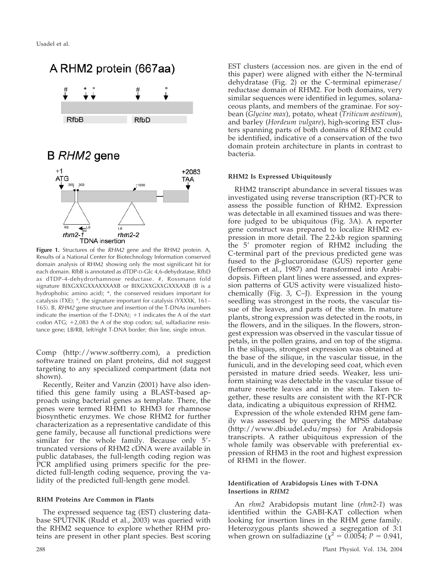

**Figure 1.** Structures of the *RHM2* gene and the RHM2 protein. A, Results of a National Center for Biotechnology Information conserved domain analysis of RHM2 showing only the most significant hit for each domain. RfbB is annotated as dTDP-D-Glc 4,6-dehydratase, RfbD as dTDP-4-dehydrorhamnose reductase. #, Rossmann fold signature BIXGXXGXXAXXXAXB or BIXGXXGXXGXXXAXB (B is a hydrophobic amino acid); \*, the conserved residues important for catalysis (TXE); °, the signature important for catalysis (YXXXK, 161– 165). B, *RHM2* gene structure and insertion of the T-DNAs (numbers indicate the insertion of the T-DNA);  $+1$  indicates the A of the start codon ATG;  $+2,083$  the A of the stop codon; sul, sulfadiazine resistance gene; LB/RB, left/right T-DNA border; thin line, single intron.

Comp (http://www.softberry.com), a prediction software trained on plant proteins, did not suggest targeting to any specialized compartment (data not shown).

Recently, Reiter and Vanzin (2001) have also identified this gene family using a BLAST-based approach using bacterial genes as template. There, the genes were termed RHM1 to RHM3 for rhamnose biosynthetic enzymes. We chose RHM2 for further characterization as a representative candidate of this gene family, because all functional predictions were similar for the whole family. Because only 5'truncated versions of RHM2 cDNA were available in public databases, the full-length coding region was PCR amplified using primers specific for the predicted full-length coding sequence, proving the validity of the predicted full-length gene model.

## **RHM Proteins Are Common in Plants**

The expressed sequence tag (EST) clustering database SPUTNIK (Rudd et al., 2003) was queried with the RHM2 sequence to explore whether RHM proteins are present in other plant species. Best scoring

EST clusters (accession nos. are given in the end of this paper) were aligned with either the N-terminal dehydratase (Fig. 2) or the C-terminal epimerase/ reductase domain of RHM2. For both domains, very similar sequences were identified in legumes, solanaceous plants, and members of the graminae. For soybean (*Glycine max*), potato, wheat (*Triticum aestivum*), and barley (*Hordeum vulgare*), high-scoring EST clusters spanning parts of both domains of RHM2 could be identified, indicative of a conservation of the two domain protein architecture in plants in contrast to bacteria.

## **RHM2 Is Expressed Ubiquitously**

RHM2 transcript abundance in several tissues was investigated using reverse transcription (RT)-PCR to assess the possible function of RHM2. Expression was detectable in all examined tissues and was therefore judged to be ubiquitous (Fig. 3A). A reporter gene construct was prepared to localize RHM2 expression in more detail. The 2.2-kb region spanning the 5' promoter region of RHM2 including the C-terminal part of the previous predicted gene was fused to the  $\beta$ -glucuronidase (GUS) reporter gene (Jefferson et al., 1987) and transformed into Arabidopsis. Fifteen plant lines were assessed, and expression patterns of GUS activity were visualized histochemically (Fig. 3, C–J). Expression in the young seedling was strongest in the roots, the vascular tissue of the leaves, and parts of the stem. In mature plants, strong expression was detected in the roots, in the flowers, and in the siliques. In the flowers, strongest expression was observed in the vascular tissue of petals, in the pollen grains, and on top of the stigma. In the siliques, strongest expression was obtained at the base of the silique, in the vascular tissue, in the funiculi, and in the developing seed coat, which even persisted in mature dried seeds. Weaker, less uniform staining was detectable in the vascular tissue of mature rosette leaves and in the stem. Taken together, these results are consistent with the RT-PCR data, indicating a ubiquitous expression of RHM2.

Expression of the whole extended RHM gene family was assessed by querying the MPSS database (http://www.dbi.udel.edu/mpss) for Arabidopsis transcripts. A rather ubiquitous expression of the whole family was observable with preferential expression of RHM3 in the root and highest expression of RHM1 in the flower.

## **Identification of Arabidopsis Lines with T-DNA Insertions in** *RHM2*

An *rhm2* Arabidopsis mutant line (*rhm2-1*) was identified within the GABI-KAT collection when looking for insertion lines in the RHM gene family. Heterozygous plants showed a segregation of 3:1 when grown on sulfadiazine ( $\chi^2 = 0.0054$ ; *P* = 0.941,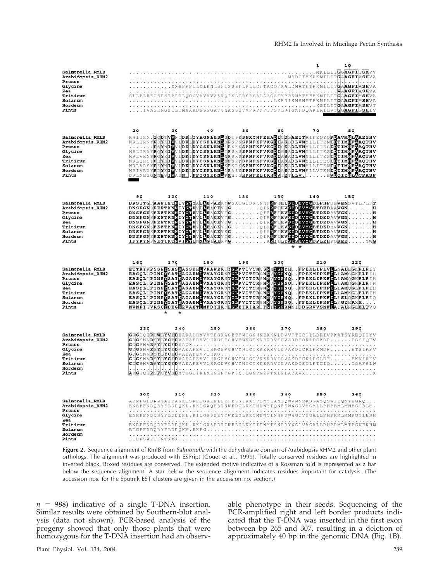|                                     |                                                                                                                                                                                                                                                                                                          |     |                                                                                                                 |     |     |     |     | 10  |     |  |
|-------------------------------------|----------------------------------------------------------------------------------------------------------------------------------------------------------------------------------------------------------------------------------------------------------------------------------------------------------|-----|-----------------------------------------------------------------------------------------------------------------|-----|-----|-----|-----|-----|-----|--|
| Salmonella RMLB                     |                                                                                                                                                                                                                                                                                                          |     |                                                                                                                 |     |     |     |     |     |     |  |
| Arabidopsis RHM2<br>Prunus          |                                                                                                                                                                                                                                                                                                          |     |                                                                                                                 |     |     |     |     |     |     |  |
| Glycine                             |                                                                                                                                                                                                                                                                                                          |     |                                                                                                                 |     |     |     |     |     |     |  |
| Zea                                 |                                                                                                                                                                                                                                                                                                          |     |                                                                                                                 |     |     |     |     |     |     |  |
| Triticum<br>Solanum                 |                                                                                                                                                                                                                                                                                                          |     |                                                                                                                 |     |     |     |     |     |     |  |
| Hordeum                             |                                                                                                                                                                                                                                                                                                          |     |                                                                                                                 |     |     |     |     |     |     |  |
| Pinus                               | IVAGRRGECLTMAAADSSNGATTNASSQTVPRPPPTPSPLRYSKFSQAKLRILVT <b>G</b> G <b>AGFI</b> GSHLV                                                                                                                                                                                                                     |     |                                                                                                                 |     |     |     |     |     |     |  |
|                                     |                                                                                                                                                                                                                                                                                                          |     |                                                                                                                 |     |     |     |     |     |     |  |
|                                     |                                                                                                                                                                                                                                                                                                          |     |                                                                                                                 |     |     |     |     |     |     |  |
|                                     | 20                                                                                                                                                                                                                                                                                                       | 30  | 40                                                                                                              | 50  | 60  |     | 70  |     | 80  |  |
| Salmonella RMLB                     | ARLIEN FOR THE ENDEMIRY AND EXAMPLE SESSENT EXPRESS TO DEVICE THE ENDEPTH PEAR OF BY A CHANGE TO THE ENDEPTH AND THE ENDEPTH OF THE ENDEPTH AND THE ENDEPTH AND THE ENDEPTH AND THE ENDEPTH AND THE ENDEPTH AND THE ENDEPTH OF                                                                           |     |                                                                                                                 |     |     |     |     |     |     |  |
| Arabidopsis_RHM2                    |                                                                                                                                                                                                                                                                                                          |     |                                                                                                                 |     |     |     |     |     |     |  |
| Prunus<br>Glycine                   |                                                                                                                                                                                                                                                                                                          |     |                                                                                                                 |     |     |     |     |     |     |  |
| Zea                                 |                                                                                                                                                                                                                                                                                                          |     |                                                                                                                 |     |     |     |     |     |     |  |
| Triticum                            |                                                                                                                                                                                                                                                                                                          |     |                                                                                                                 |     |     |     |     |     |     |  |
| Solanum<br>Hordeum                  |                                                                                                                                                                                                                                                                                                          |     |                                                                                                                 |     |     |     |     |     |     |  |
| Pinus                               | DRLMESGNNEVIVADN. FFTGSKDNERKWIGHPNFELIRHDVTETLLVEVDQIYHLGPASP                                                                                                                                                                                                                                           |     |                                                                                                                 |     |     |     |     |     |     |  |
|                                     |                                                                                                                                                                                                                                                                                                          |     |                                                                                                                 |     |     |     |     |     |     |  |
|                                     |                                                                                                                                                                                                                                                                                                          |     |                                                                                                                 |     |     |     |     |     |     |  |
|                                     |                                                                                                                                                                                                                                                                                                          |     |                                                                                                                 |     |     |     |     |     |     |  |
|                                     | 90<br>DRSITGPAAFIETNIVGUYALEEVARKYWSALGEDKKNNFRFHHISTDEVYGDLPHPDEVENSVTLPLFT                                                                                                                                                                                                                             | 100 | 110                                                                                                             | 120 | 130 |     | 140 | 150 |     |  |
| Salmonella RMLB<br>Arabidopsis_RHM2 |                                                                                                                                                                                                                                                                                                          |     |                                                                                                                 |     |     |     |     |     |     |  |
| Prunus                              |                                                                                                                                                                                                                                                                                                          |     |                                                                                                                 |     |     |     |     |     |     |  |
| Glycine                             |                                                                                                                                                                                                                                                                                                          |     |                                                                                                                 |     |     |     |     |     |     |  |
| Zea<br>Triticum                     |                                                                                                                                                                                                                                                                                                          |     |                                                                                                                 |     |     |     |     |     |     |  |
| Solanum                             |                                                                                                                                                                                                                                                                                                          |     |                                                                                                                 |     |     |     |     |     |     |  |
| Hordeum                             |                                                                                                                                                                                                                                                                                                          |     |                                                                                                                 |     |     |     |     |     |     |  |
| Pinus                               | IFYKYNPVKTIKTNVIGALNMEGLAKRVGARILLTSTSEVYGDPLEHPQKEEYWG                                                                                                                                                                                                                                                  |     |                                                                                                                 |     |     | * * |     |     |     |  |
|                                     |                                                                                                                                                                                                                                                                                                          |     |                                                                                                                 |     |     |     |     |     |     |  |
|                                     |                                                                                                                                                                                                                                                                                                          |     |                                                                                                                 |     |     |     |     |     |     |  |
|                                     |                                                                                                                                                                                                                                                                                                          |     |                                                                                                                 |     |     |     |     |     |     |  |
|                                     | 160                                                                                                                                                                                                                                                                                                      | 170 | 180                                                                                                             | 190 | 200 |     | 210 |     | 220 |  |
| Salmonella RMLB                     |                                                                                                                                                                                                                                                                                                          |     |                                                                                                                 |     |     |     |     |     |     |  |
| Arabidopsis_RHM2                    |                                                                                                                                                                                                                                                                                                          |     |                                                                                                                 |     |     |     |     |     |     |  |
| Prunus<br>Glycine                   |                                                                                                                                                                                                                                                                                                          |     |                                                                                                                 |     |     |     |     |     |     |  |
| Zea                                 |                                                                                                                                                                                                                                                                                                          |     |                                                                                                                 |     |     |     |     |     |     |  |
| Triticum                            |                                                                                                                                                                                                                                                                                                          |     |                                                                                                                 |     |     |     |     |     |     |  |
| Solanum<br>Hordeum                  |                                                                                                                                                                                                                                                                                                          |     |                                                                                                                 |     |     |     |     |     |     |  |
| Pinus                               | - "TAYAPSSPYSATKAGAEMIVKAYGRSYCIP VITTRGNNYGPNOFPEKLIPKFELILSINGGKP LP<br>ERSOLLPTNPYSATKAGAEMIVKAYGRSYCIP VITTRGNNYGPNOFPEKLIPKFELILAMSGKP LP<br>EASOLLPTNPYSATKAGAEMIVKAYGRSYCIP VITTRGNNYGPNOFPEKLIPKFELILAMOGKP LP<br>EASO<br>NVNPIGVRSCYDEGKRVAETLMFDYHROHGLEIRIARIFNTYGPRMNIDDGRVVSNFIAOALRGEELTVO |     |                                                                                                                 |     |     |     |     |     |     |  |
|                                     |                                                                                                                                                                                                                                                                                                          |     |                                                                                                                 |     |     |     |     |     |     |  |
|                                     |                                                                                                                                                                                                                                                                                                          |     |                                                                                                                 |     |     |     |     |     |     |  |
|                                     |                                                                                                                                                                                                                                                                                                          |     |                                                                                                                 |     |     |     |     |     |     |  |
|                                     | 230                                                                                                                                                                                                                                                                                                      |     | 240 250 260 270 280 290                                                                                         |     |     |     |     |     |     |  |
| Salmonella RMLB                     | GKGDOIRDWLYVEDHARALHMVVTEGKAGETYNIGGHNEKKNLDVVFTICDLLDEIVPKATSYREQITYV<br>GDGSNVRSYLYCEDVAEAFEVVLHKGEIGHVYNVGTKRERRVIDVARDICKLFGKDPESSIQFV                                                                                                                                                               |     |                                                                                                                 |     |     |     |     |     |     |  |
| Arabidopsis_RHM2<br>Prunus          |                                                                                                                                                                                                                                                                                                          |     |                                                                                                                 |     |     |     |     |     |     |  |
| Glycine                             |                                                                                                                                                                                                                                                                                                          |     |                                                                                                                 |     |     |     |     |     |     |  |
| Zea<br>Triticum                     | GDGSNVRSYLYCEDVAEAFEVVLHKGEVGHVYNIGTVKERRVIDVASDICKLFGLDTEKVIRFV                                                                                                                                                                                                                                         |     |                                                                                                                 |     |     |     |     |     |     |  |
| Solanum                             | GDGSNVRSYLYCEDVAEAFEVVLHRGDVGHVYNIGTKKERRVIDVAKDISNLFTGIQTQAFSLW                                                                                                                                                                                                                                         |     |                                                                                                                 |     |     |     |     |     |     |  |
| Hordeum                             | dalah sertah dalam dalam secara secara secara secara secara secara secara secara secara secara secara secara                                                                                                                                                                                             |     |                                                                                                                 |     |     |     |     |     |     |  |
| Pinus                               | APCTOTRSFCYVSDMVDGLIRLMEGENTGPIN.LGNPGEFTMLELAEAVXX                                                                                                                                                                                                                                                      |     |                                                                                                                 |     |     |     |     |     |     |  |
|                                     |                                                                                                                                                                                                                                                                                                          |     |                                                                                                                 |     |     |     |     |     |     |  |
|                                     |                                                                                                                                                                                                                                                                                                          |     |                                                                                                                 |     |     |     |     |     |     |  |
|                                     | 300                                                                                                                                                                                                                                                                                                      | 310 | 3 2 0 3 3 0 3 4 0 3 5 0 3 2 0 3 4 0 3 4 0 4 1 3 4 0 4 1 3 5 0 4 1 3 5 0 4 1 3 5 0 4 1 3 5 0 4 1 3 5 0 4 1 3 5 0 |     |     |     |     |     | 360 |  |
| Salmonella RMLB                     | ADRPGHDRRYAIDAGKISRELGWKPLETFESGIRKTVEWYLANTQWVNNVKSGAYQSWIEQNYEGRQ                                                                                                                                                                                                                                      |     |                                                                                                                 |     |     |     |     |     |     |  |
| Arabidopsis_RHM2<br>Prunus          | ENRPFNDQRYFLDDQKL.KKLGWQERTNWEDGLKKTMDWYTQNPEWWGDVSGALLPHPRMLMMPGGRLS.                                                                                                                                                                                                                                   |     |                                                                                                                 |     |     |     |     |     |     |  |
| Glycine                             | ENRPFNDORYFLDDEKL.KILGWSERTTWEEGLKKTMDWYINNPDWWGDVSGALLPHPRMLMMPGGLERH                                                                                                                                                                                                                                   |     |                                                                                                                 |     |     |     |     |     |     |  |
| Zea                                 |                                                                                                                                                                                                                                                                                                          |     |                                                                                                                 |     |     |     |     |     |     |  |
| Triticum<br>Solanum                 | ENRPFNDQRYFLDDQKL.KKLGWAERTTWEEGLKKTIEWYTSNPDYWGDVAGALLPHPRMLMTPGVERHN                                                                                                                                                                                                                                   |     |                                                                                                                 |     |     |     |     |     |     |  |
| Hordeum<br>Pinus                    | RTGPFNDQRYFLDDQKV.KKPG                                                                                                                                                                                                                                                                                   |     |                                                                                                                 |     |     |     |     |     |     |  |

**Figure 2.** Sequence alignment of RmlB from *Salmonella* with the dehydratase domain of Arabidopsis RHM2 and other plant orthologs. The alignment was produced with ESPript (Gouet et al., 1999). Totally conserved residues are highlighted in inverted black. Boxed residues are conserved. The extended motive indicative of a Rossman fold is represented as a bar below the sequence alignment. A star below the sequence alignment indicates residues important for catalysis. (The accession nos. for the Sputnik EST clusters are given in the accession no. section.)

 $n = 988$ ) indicative of a single T-DNA insertion. Similar results were obtained by Southern-blot analysis (data not shown). PCR-based analysis of the progeny showed that only those plants that were homozygous for the T-DNA insertion had an observable phenotype in their seeds. Sequencing of the PCR-amplified right and left border products indicated that the T-DNA was inserted in the first exon between bp 265 and 307, resulting in a deletion of approximately 40 bp in the genomic DNA (Fig. 1B).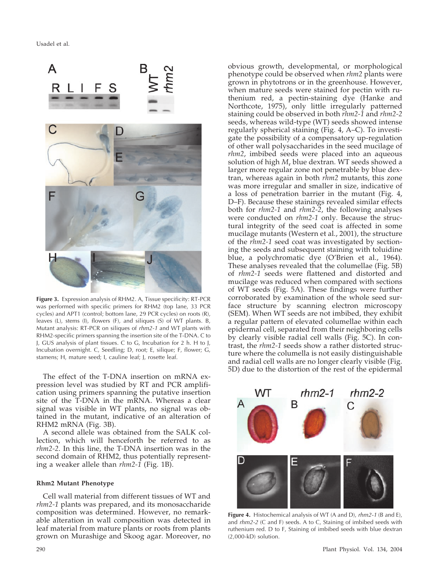

**Figure 3.** Expression analysis of RHM2. A, Tissue specificity: RT-PCR was performed with specific primers for RHM2 (top lane, 33 PCR cycles) and APT1 (control; bottom lane, 29 PCR cycles) on roots (R), leaves (L), stems (I), flowers (F), and siliques (S) of WT plants. B, Mutant analysis: RT-PCR on siliques of *rhm2-1* and WT plants with RHM2-specific primers spanning the insertion site of the T-DNA. C to J, GUS analysis of plant tissues. C to G, Incubation for 2 h. H to J, Incubation overnight. C, Seedling; D, root; E, silique; F, flower; G, stamens; H, mature seed; I, cauline leaf; J, rosette leaf.

The effect of the T-DNA insertion on mRNA expression level was studied by RT and PCR amplification using primers spanning the putative insertion site of the T-DNA in the mRNA. Whereas a clear signal was visible in WT plants, no signal was obtained in the mutant, indicative of an alteration of RHM2 mRNA (Fig. 3B).

A second allele was obtained from the SALK collection, which will henceforth be referred to as *rhm2-2*. In this line, the T-DNA insertion was in the second domain of RHM2, thus potentially representing a weaker allele than *rhm2-1* (Fig. 1B).

## **Rhm2 Mutant Phenotype**

Cell wall material from different tissues of WT and *rhm2-1* plants was prepared, and its monosaccharide composition was determined. However, no remarkable alteration in wall composition was detected in leaf material from mature plants or roots from plants grown on Murashige and Skoog agar. Moreover, no obvious growth, developmental, or morphological phenotype could be observed when *rhm2* plants were grown in phytotrons or in the greenhouse. However, when mature seeds were stained for pectin with ruthenium red, a pectin-staining dye (Hanke and Northcote, 1975), only little irregularly patterned staining could be observed in both *rhm2-1* and *rhm2-2* seeds, whereas wild-type (WT) seeds showed intense regularly spherical staining (Fig. 4, A–C). To investigate the possibility of a compensatory up-regulation of other wall polysaccharides in the seed mucilage of *rhm2*, imbibed seeds were placed into an aqueous solution of high *M*<sup>r</sup> blue dextran. WT seeds showed a larger more regular zone not penetrable by blue dextran, whereas again in both *rhm2* mutants, this zone was more irregular and smaller in size, indicative of a loss of penetration barrier in the mutant (Fig. 4, D–F). Because these stainings revealed similar effects both for *rhm2-1* and *rhm2-2*, the following analyses were conducted on *rhm2-1* only. Because the structural integrity of the seed coat is affected in some mucilage mutants (Western et al., 2001), the structure of the *rhm2-1* seed coat was investigated by sectioning the seeds and subsequent staining with toluidine blue, a polychromatic dye (O'Brien et al., 1964). These analyses revealed that the columellae (Fig. 5B) of *rhm2-1* seeds were flattened and distorted and mucilage was reduced when compared with sections of WT seeds (Fig. 5A). These findings were further corroborated by examination of the whole seed surface structure by scanning electron microscopy (SEM). When WT seeds are not imbibed, they exhibit a regular pattern of elevated columellae within each epidermal cell, separated from their neighboring cells by clearly visible radial cell walls (Fig. 5C). In contrast, the *rhm2-1* seeds show a rather distorted structure where the columella is not easily distinguishable and radial cell walls are no longer clearly visible (Fig. 5D) due to the distortion of the rest of the epidermal



**Figure 4.** Histochemical analysis of WT (A and D), *rhm2-1* (B and E), and *rhm2-2* (C and F) seeds. A to C, Staining of imbibed seeds with ruthenium red. D to F, Staining of imbibed seeds with blue dextran (2,000-kD) solution.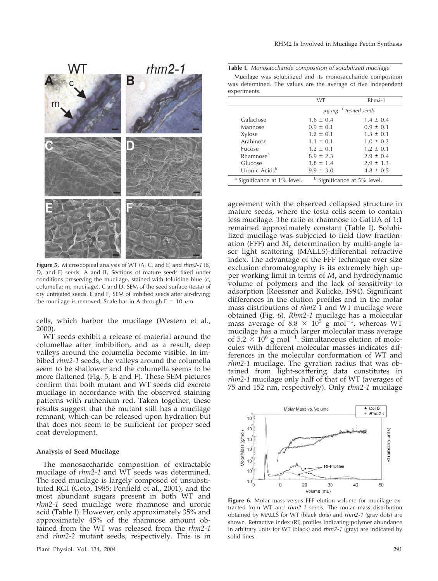

**Figure 5.** Microscopical analysis of WT (A, C, and E) and *rhm2-1* (B, D, and F) seeds. A and B, Sections of mature seeds fixed under conditions preserving the mucilage, stained with toluidine blue (c, columella; m, mucilage). C and D, SEM of the seed surface (testa) of dry untreated seeds. E and F, SEM of imbibed seeds after air-drying; the mucilage is removed. Scale bar in A through  $F = 10 \mu m$ .

cells, which harbor the mucilage (Western et al., 2000).

WT seeds exhibit a release of material around the columellae after imbibition, and as a result, deep valleys around the columella become visible. In imbibed *rhm2-1* seeds, the valleys around the columella seem to be shallower and the columella seems to be more flattened (Fig. 5, E and F). These SEM pictures confirm that both mutant and WT seeds did excrete mucilage in accordance with the observed staining patterns with ruthenium red. Taken together, these results suggest that the mutant still has a mucilage remnant, which can be released upon hydration but that does not seem to be sufficient for proper seed coat development.

## **Analysis of Seed Mucilage**

The monosaccharide composition of extractable mucilage of *rhm2-1* and WT seeds was determined. The seed mucilage is largely composed of unsubstituted RGI (Goto, 1985; Penfield et al., 2001), and the most abundant sugars present in both WT and *rhm2-1* seed mucilage were rhamnose and uronic acid (Table I). However, only approximately 35% and approximately 45% of the rhamnose amount obtained from the WT was released from the *rhm2-1* and *rhm2-2* mutant seeds, respectively. This is in

**Table I.** *Monosaccharide composition of solubilized mucilage*

Mucilage was solubilized and its monosaccharide composition was determined. The values are the average of five independent experiments

|                                        | <b>WT</b>                              | $Rhm2-1$                               |  |  |
|----------------------------------------|----------------------------------------|----------------------------------------|--|--|
|                                        | $\mu$ g mg <sup>-1</sup> treated seeds |                                        |  |  |
| Galactose                              | $1.6 \pm 0.4$                          | $1.4 \pm 0.4$                          |  |  |
| Mannose                                | $0.9 \pm 0.1$                          | $0.9 \pm 0.1$                          |  |  |
| Xylose                                 | $1.2 \pm 0.1$                          | $1.3 \pm 0.1$                          |  |  |
| Arabinose                              | $1.1 \pm 0.1$                          | $1.0 \pm 0.2$                          |  |  |
| <b>Fucose</b>                          | $1.2 \pm 0.1$                          | $1.2 \pm 0.1$                          |  |  |
| Rhamnose <sup>a</sup>                  | $8.9 \pm 2.3$                          | $2.9 \pm 0.4$                          |  |  |
| Glucose                                | $3.8 \pm 1.4$                          | $2.9 \pm 1.3$                          |  |  |
| Uronic Acids <sup>b</sup>              | $9.9 \pm 3.0$                          | $4.8 \pm 0.5$                          |  |  |
| <sup>a</sup> Significance at 1% level. |                                        | <sup>b</sup> Significance at 5% level. |  |  |

agreement with the observed collapsed structure in mature seeds, where the testa cells seem to contain less mucilage. The ratio of rhamnose to GalUA of 1:1 remained approximately constant (Table I). Solubilized mucilage was subjected to field flow fractionation (FFF) and *M*<sup>r</sup> determination by multi-angle laser light scattering (MALLS)-differential refractive index. The advantage of the FFF technique over size exclusion chromatography is its extremely high upper working limit in terms of *M*<sup>r</sup> and hydrodynamic volume of polymers and the lack of sensitivity to adsorption (Roessner and Kulicke, 1994). Significant differences in the elution profiles and in the molar mass distributions of *rhm2-1* and WT mucilage were obtained (Fig. 6). *Rhm2-1* mucilage has a molecular mass average of 8.8  $\times$  10<sup>5</sup> g mol<sup>-1</sup>, whereas WT mucilage has a much larger molecular mass average of 5.2  $\times$  10<sup>6</sup> g mol<sup>-1</sup>. Simultaneous elution of molecules with different molecular masses indicates differences in the molecular conformation of WT and *rhm2-1* mucilage. The gyration radius that was obtained from light-scattering data constitutes in *rhm2-1* mucilage only half of that of WT (averages of 75 and 152 nm, respectively). Only r*hm2-1* mucilage



**Figure 6.** Molar mass versus FFF elution volume for mucilage extracted from WT and *rhm2-1* seeds. The molar mass distribution obtained by MALLS for WT (black dots) and *rhm2-1* (gray dots) are shown. Refractive index (RI) profiles indicating polymer abundance in arbitrary units for WT (black) and *rhm2-1* (gray) are indicated by solid lines.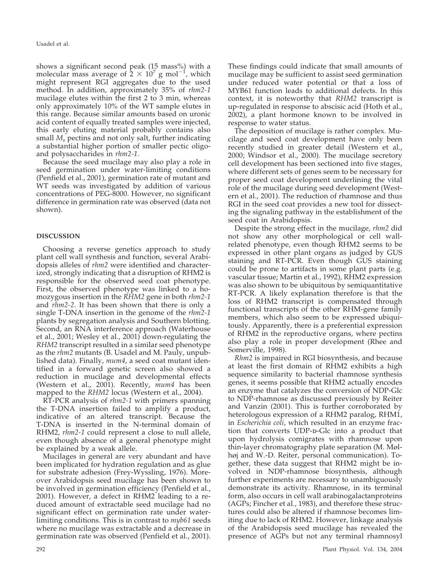shows a significant second peak (15 mass%) with a molecular mass average of  $\frac{1}{2} \times 10^7$  g mol<sup>-1</sup>, which might represent RGI aggregates due to the used method. In addition, approximately 35% of *rhm2-1* mucilage elutes within the first 2 to 3 min, whereas only approximately 10% of the WT sample elutes in this range. Because similar amounts based on uronic acid content of equally treated samples were injected, this early eluting material probably contains also small *M<sub>r</sub>* pectins and not only salt, further indicating a substantial higher portion of smaller pectic oligoand polysaccharides in *rhm2-1*.

Because the seed mucilage may also play a role in seed germination under water-limiting conditions (Penfield et al., 2001), germination rate of mutant and WT seeds was investigated by addition of various concentrations of PEG-8000. However, no significant difference in germination rate was observed (data not shown).

# **DISCUSSION**

Choosing a reverse genetics approach to study plant cell wall synthesis and function, several Arabidopsis alleles of *rhm2* were identified and characterized, strongly indicating that a disruption of RHM2 is responsible for the observed seed coat phenotype. First, the observed phenotype was linked to a homozygous insertion in the *RHM2* gene in both *rhm2-1* and *rhm2-2*. It has been shown that there is only a single T-DNA insertion in the genome of the *rhm2-1* plants by segregation analysis and Southern blotting. Second, an RNA interference approach (Waterhouse et al., 2001; Wesley et al., 2001) down-regulating the *RHM2* transcript resulted in a similar seed phenotype as the *rhm2* mutants (B. Usadel and M. Pauly, unpublished data). Finally, *mum4*, a seed coat mutant identified in a forward genetic screen also showed a reduction in mucilage and developmental effects (Western et al., 2001). Recently, *mum4* has been mapped to the *RHM2* locus (Western et al., 2004).

RT-PCR analysis of *rhm2-1* with primers spanning the T-DNA insertion failed to amplify a product, indicative of an altered transcript. Because the T-DNA is inserted in the N-terminal domain of RHM2, *rhm2-1* could represent a close to null allele, even though absence of a general phenotype might be explained by a weak allele.

Mucilages in general are very abundant and have been implicated for hydration regulation and as glue for substrate adhesion (Frey-Wyssling, 1976). Moreover Arabidopsis seed mucilage has been shown to be involved in germination efficiency (Penfield et al., 2001). However, a defect in RHM2 leading to a reduced amount of extractable seed mucilage had no significant effect on germination rate under waterlimiting conditions. This is in contrast to *myb61* seeds where no mucilage was extractable and a decrease in germination rate was observed (Penfield et al., 2001).

These findings could indicate that small amounts of mucilage may be sufficient to assist seed germination under reduced water potential or that a loss of MYB61 function leads to additional defects. In this context, it is noteworthy that *RHM2* transcript is up-regulated in response to abscisic acid (Hoth et al., 2002), a plant hormone known to be involved in response to water status.

The deposition of mucilage is rather complex. Mucilage and seed coat development have only been recently studied in greater detail (Western et al., 2000; Windsor et al., 2000). The mucilage secretory cell development has been sectioned into five stages, where different sets of genes seem to be necessary for proper seed coat development underlining the vital role of the mucilage during seed development (Western et al., 2001). The reduction of rhamnose and thus RGI in the seed coat provides a new tool for dissecting the signaling pathway in the establishment of the seed coat in Arabidopsis.

Despite the strong effect in the mucilage, *rhm2* did not show any other morphological or cell wallrelated phenotype, even though RHM2 seems to be expressed in other plant organs as judged by GUS staining and RT-PCR. Even though GUS staining could be prone to artifacts in some plant parts (e.g. vascular tissue; Martin et al., 1992), RHM2 expression was also shown to be ubiquitous by semiquantitative RT-PCR. A likely explanation therefore is that the loss of RHM2 transcript is compensated through functional transcripts of the other RHM-gene family members, which also seem to be expressed ubiquitously. Apparently, there is a preferential expression of RHM2 in the reproductive organs, where pectins also play a role in proper development (Rhee and Somerville, 1998).

*Rhm2* is impaired in RGI biosynthesis, and because at least the first domain of RHM2 exhibits a high sequence similarity to bacterial rhamnose synthesis genes, it seems possible that RHM2 actually encodes an enzyme that catalyzes the conversion of NDP-Glc to NDP-rhamnose as discussed previously by Reiter and Vanzin (2001). This is further corroborated by heterologous expression of a RHM2 paralog, RHM1, in *Escherichia coli*, which resulted in an enzyme fraction that converts UDP-D-Glc into a product that upon hydrolysis comigrates with rhamnose upon thin-layer chromatography plate separation (M. Mølhøj and W.-D. Reiter, personal communication). Together, these data suggest that RHM2 might be involved in NDP-rhamnose biosynthesis, although further experiments are necessary to unambiguously demonstrate its activity. Rhamnose, in its terminal form, also occurs in cell wall arabinogalactanproteins (AGPs; Fincher et al., 1983), and therefore these structures could also be altered if rhamnose becomes limiting due to lack of RHM2. However, linkage analysis of the Arabidopsis seed mucilage has revealed the presence of AGPs but not any terminal rhamnosyl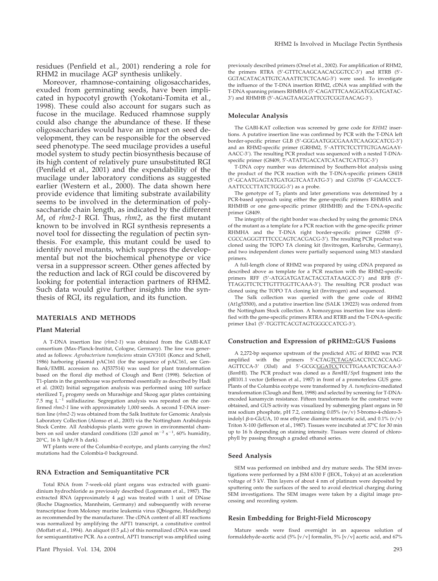residues (Penfield et al., 2001) rendering a role for RHM2 in mucilage AGP synthesis unlikely.

Moreover, rhamnose-containing oligosaccharides, exuded from germinating seeds, have been implicated in hypocotyl growth (Yokotani-Tomita et al., 1998). These could also account for sugars such as fucose in the mucilage. Reduced rhamnose supply could also change the abundance of these. If these oligosaccharides would have an impact on seed development, they can be responsible for the observed seed phenotype. The seed mucilage provides a useful model system to study pectin biosynthesis because of its high content of relatively pure unsubstituted RGI (Penfield et al., 2001) and the expendability of the mucilage under laboratory conditions as suggested earlier (Western et al., 2000). The data shown here provide evidence that limiting substrate availability seems to be involved in the determination of polysaccharide chain length, as indicated by the different *M*<sup>r</sup> of *rhm2-1* RGI. Thus, *rhm2*, as the first mutant known to be involved in RGI synthesis represents a novel tool for dissecting the regulation of pectin synthesis. For example, this mutant could be used to identify novel mutants, which suppress the developmental but not the biochemical phenotype or vice versa in a suppressor screen. Other genes affected by the reduction and lack of RGI could be discovered by looking for potential interaction partners of RHM2. Such data would give further insights into the synthesis of RGI, its regulation, and its function.

## **MATERIALS AND METHODS**

## **Plant Material**

A T-DNA insertion line (*rhm2-1*) was obtained from the GABI-KAT consortium (Max-Planck-Institut, Cologne, Germany). The line was generated as follows: *Agrobacterium tumefaciens* strain GV3101 (Koncz and Schell, 1986) harboring plasmid pAC161 (for the sequence of pAC161, see Gen-Bank/EMBL accession no. AJ537514) was used for plant transformation based on the floral dip method of Clough and Bent (1998). Selection of T1-plants in the greenhouse was performed essentially as described by Hadi et al. (2002) Initial segregation analysis was performed using 100 surface sterilized T<sub>2</sub> progeny seeds on Murashige and Skoog agar plates containing 7.5 mg  $L^{-1}$  sulfadiazine. Segregation analysis was repeated on the confirmed *rhm2-1* line with approximately 1,000 seeds. A second T-DNA insertion line (*rhm2-2*) was obtained from the Salk Institute for Genomic Analysis Laboratory Collection (Alonso et al., 2003) via the Nottingham Arabidopsis Stock Centre. All Arabidopsis plants were grown in environmental chambers on soil under standard conditions (120  $\mu$ mol m<sup>-2</sup> s<sup>-1</sup>, 60% humidity, 20°C, 16 h light/8 h dark).

WT plants were of the Columbia-0 ecotype, and plants carrying the *rhm2* mutations had the Colombia-0 background.

#### **RNA Extraction and Semiquantitative PCR**

Total RNA from 7-week-old plant organs was extracted with guanidinium hydrochloride as previously described (Logemann et al., 1987). The extracted RNA (approximately 4  $\mu$ g) was treated with 1 unit of DNase (Roche Diagnostics, Mannheim, Germany) and subsequently with reverse transcriptase from Moloney murine leukemia virus (Qbiogene, Heidelberg) as recommended by the manufacturer. The cDNA content of all RT reactions was normalized by amplifying the APT1 transcript, a constitutive control (Moffatt et al., 1994). An aliquot (0.5  $\mu$ L) of this normalized cDNA was used for semiquantitative PCR. As a control, APT1 transcript was amplified using previously described primers (Orsel et al., 2002). For amplification of RHM2, the primers RTRA (5-GTTTCAAGCAACACGGTCC-3) and RTRB (5- GGTACATACATTGTCAAATTCTCTCAAG-3) were used. To investigate the influence of the T-DNA insertion RHM2, cDNA was amplified with the T-DNA spanning primers RHMHA (5-CAGATTTCAAGGATGGATGATAC-3) and RHMHB (5-AGAGTAAGGATTCGTCGGTAACAG-3).

#### **Molecular Analysis**

The GABI-KAT collection was screened by gene code for *RHM2* insertions. A putative insertion line was confirmed by PCR with the T-DNA left border-specific primer GLB (5-GGGAATGGCGAAATCAAGGCATCG-3) and an RHM2-specific primer (GRHM2, 5-ATTTCTCCTTTGTGAAGAAY-AACC-3). The resulting PCR product was sequenced with a nested T-DNAspecific primer (G8409, 5'-ATATTGACCATCATACTCATTGC-3')

T-DNA copy number was determined by Southern-blot analysis using the product of the PCR reaction with the T-DNA-specific primers G8418 (5-GCAATGAGTATGATGGTCAATATG-3) and G10706 (5-GAACCCT-AATTCCCTTATCTGGG-3) as a probe.

The genotype of  $T_2$  plants and later generations was determined by a PCR-based approach using either the gene-specific primers RHMHA and RHMHB or one gene-specific primer (RHMHB) and the T-DNA-specific primer G8409.

The integrity of the right border was checked by using the genomic DNA of the mutant as a template for a PCR reaction with the gene-specific primer RHMHA and the T-DNA right border-specific primer G2588 (5- CGCCAGGGTTTTCCCAGTCACGACG-3). The resulting PCR product was cloned using the TOPO TA cloning kit (Invitrogen, Karlsruhe, Germany), and two independent clones were partially sequenced using M13 standard primers.

A full-length clone of RHM2 was prepared by using cDNA prepared as described above as template for a PCR reaction with the RHM2-specific primers RFF (5'-ATGGATGATACTACGTATAAGCC-3') and RFB (5'-TTAGGTTCTCTTGTTTGGTTCAAA-3). The resulting PCR product was cloned using the TOPO TA cloning kit (Invitrogen) and sequenced.

The Salk collection was queried with the gene code of RHM2 (At1g53500), and a putative insertion line (SALK 139223) was ordered from the Nottingham Stock collection. A homozygous insertion line was identified with the gene-specific primers RTRA and RTRB and the T-DNA-specific primer Lba1 (5'-TGGTTCACGTAGTGGGCCATCG-3').

#### **Construction and Expression of pRHM2::GUS Fusions**

A 2,272-bp sequence upstream of the predicted ATG of RHM2 was PCR amplified with the primers 5'-CTAGTCTAGAGACCTCCACCAAG-AGTTCCA-3' (*XbaI*) and 5'-GCGC<u>GGATCC</u>TCCTTGAAATCTGCAA-3' (*Bam*HI). The PCR product was cloned as a *Bam*HI/*Spe*I fragment into the pBI101.1 vector (Jefferson et al., 1987) in front of a promoterless GUS gene. Plants of the Columbia ecotype were transformed by *A*. *tumefaciens*-mediated transformation (Clough and Bent, 1998) and selected by screening for T-DNAencoded kanamycin resistance. Fifteen transformants for the construct were obtained, and GUS activity was visualized by submerging plant organs in 50 mm sodium phosphate, pH 7.2, containing 0.05% (w/v) 5-bromo-4-chloro-3 indolyl  $\beta$ -D-GlcUA, 10 mm ethylene diamine tetraacetic acid, and 0.1% (v/v) Triton X-100 (Jefferson et al., 1987). Tissues were incubated at 37°C for 30 min up to 16 h depending on staining intensity. Tissues were cleared of chlorophyll by passing through a graded ethanol series.

#### **Seed Analysis**

SEM was performed on imbibed and dry mature seeds. The SEM investigations were performed by a JSM 6330 F (JEOL, Tokyo) at an acceleration voltage of 5 kV. Thin layers of about 4 nm of platinum were deposited by sputtering onto the surfaces of the seed to avoid electrical charging during SEM investigations. The SEM images were taken by a digital image processing and recording system.

#### **Resin Embedding for Bright-Field Microscopy**

Mature seeds were fixed overnight in an aqueous solution of formaldehyde-acetic acid (5% [v/v] formalin, 5% [v/v] acetic acid, and 67%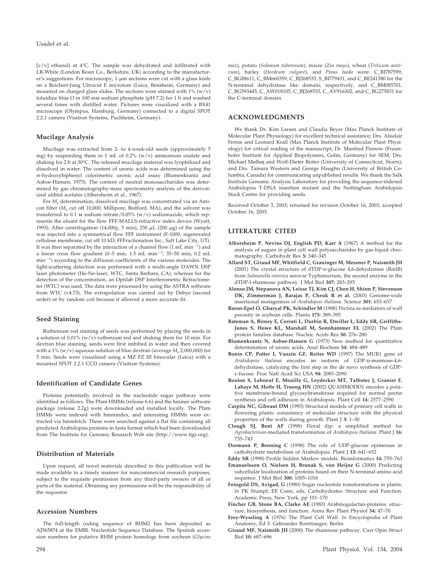[v/v] ethanol) at 4°C. The sample was dehydrated and infiltrated with LR-White (London Resin Co., Berkshire, UK) according to the manufacturer's suggestions. For microscopy,  $1$ - $\mu$ m sections were cut with a glass knife on a Reichert-Jung Ultracut E microtom (Leica, Bensheim, Germany) and mounted on charged glass slides. The sections were stained with  $1\%$  (w/v) toluidine blue O in 100 mm sodium phosphate (pH 7.2) for 1 h and washed several times with distilled water. Pictures were visualized with a BX41 microscope (Olympus, Hamburg, Germany) connected to a digital SPOT 2.2.1 camera (Visitron Systems, Puchheim, Germany).

## **Mucilage Analysis**

Mucilage was extracted from 2- to 4-week-old seeds (approximately 5 mg) by suspending them in 1 mL of 0.2% (w/v) ammonium oxalate and shaking for 2 h at 30°C. The released mucilage material was lyophilized and dissolved in water. The content of uronic acids was determined using the *m*-hydroxybiphenyl colorimetric uronic acid assay (Blumenkrantz and Asboe-Hansen, 1973). The content of neutral monosaccharides was determined by gas chromatography-mass spectrometry analysis of the derivatized alditol acetates (Albersheim et al., 1967).

For *M*<sup>r</sup> determination, dissolved mucilage was concentrated via an Amicon filter (*M*<sup>r</sup> cut off 10,000; Millipore, Bedford, MA), and the solvent was transferred to 0.1 m sodium nitrate/0.05% (w/v) sodiumazide, which represents the eluant for the flow FFF-MALLS-refractive index device (Wyatt, 1993). After centrifugation (14,000 $g$ , 5 min), 250  $\mu$ L (200  $\mu$ g) of the sample was injected into a symmetrical flow FFF instrument (F-1000, regenerated cellulose membrane, cut off 10 kD; FFFractionation Inc., Salt Lake City, UT). It was then separated by the interaction of a channel flow (1 mL min<sup>-1</sup>) and a linear cross flow gradient (0-5 min,  $1.5$  mL min<sup>-1</sup>;  $35-50$  min,  $0.2$  mL min-1 ) according to the diffusion coefficients of the various molecules. The light-scattering detection was performed with a multi-angle DAWN DSP laser photometer (He-Ne-laser, WTC, Santa Barbara, CA), whereas for the detection of the concentration, an Optilab DSP Interferometric Refractometer (WTC) was used. The data were processed by using the ASTRA software from WTC (v4.73). The extrapolation was carried out by Debye (second order) or by random coil because it allowed a more accurate fit.

## **Seed Staining**

Ruthenium red staining of seeds was performed by placing the seeds in a solution of 0.01% (w/v) ruthenium red and shaking them for 10 min. For dextran blue staining, seeds were first imbibed in water and then covered with a 1% (w/v) aqueous solution of blue dextran (average  $M_r$  2,000,000) for 5 min. Seeds were visualized using a MZ FZ III binocular (Leica) with a mounted SPOT 2.2.1 CCD camera (Visitron Systems).

#### **Identification of Candidate Genes**

Proteins potentially involved in the nucleotide sugar pathway were identified as follows. The Pfam HMMs (release 6.6) and the hmmer software package (release 2.2g) were downloaded and installed locally. The Pfam HMMs were indexed with hmmindex, and interesting HMMs were extracted via hmmfetch. These were searched against a flat file containing all predicted Arabidopsis proteins in fasta format which had been downloaded from The Institute for Genomic Research Web site (http://www.tigr.org).

## **Distribution of Materials**

Upon request, all novel materials described in this publication will be made available in a timely manner for noncommercial research purposes, subject to the requisite permission from any third-party owners of all or parts of the material. Obtaining any permissions will be the responsibility of the requestor.

## **Accession Numbers**

The full-length coding sequence of RHM2 has been deposited as AJ565874 at the EMBL Nucleotide Sequence Database. The Sputnik accession numbers for putative RHM protein homologs from soybean (*Glycine*

## **ACKNOWLEDGMENTS**

We thank Dr. Kim Larsen and Claudia Beyer (Max Planck Institute of Molecular Plant Physiology) for excellent technical assistance; Drs. Alisdair Fernie and Leonard Krall (Max Planck Institute of Molecular Plant Physiology) for critical reading of the manuscript; Dr. Manfred Pinnow (Fraunhofer Institute for Applied Biopolymers, Golm, Germany) for SEM; Drs. Michael Mølhøj and Wolf-Dieter Reiter (University of Connecticut, Storrs); and Drs. Tamara Western and George Haughn (University of British Columbia, Canada) for communicating unpublished results. We thank the Salk Institute Genomic Analysis Laboratory for providing the sequence-indexed Arabidopsis T-DNA insertion mutant and the Nottingham Arabidopsis Stock Centre for providing seeds.

Received October 3, 2003; returned for revision October 16, 2003; accepted October 16, 2003.

#### **LITERATURE CITED**

- **Albersheim P, Nevins DJ, English PD, Karr A** (1967) A method for the analysis of sugars in plant cell wall polysaccharides by gas-liquid chromatography. Carbohydr Res **5:** 340–345
- **Allard ST, Giraud MF, Whitfield C, Graninger M, Messner P, Naismith JH** (2001) The crystal structure of dTDP-D-glucose 4,6-dehydratase (RmlB) from *Salmonella enterica* serovar Typhimurium, the second enzyme in the dTDP-l-rhamnose pathway. J Mol Biol **307:** 283–295
- **Alonso JM, Stepanova AN, Leisse TJ, Kim CJ, Chen H, Shinn P, Stevenson DK, Zimmerman J, Barajas P, Cheuk R et al.** (2003) Genome-wide insertional mutagenesis of *Arabidopsis thaliana*. Science **301:** 653–657
- **Baron-Epel O, Gharyal PK, Schindler M** (1988) Pectins as mediators of wall porosity in soybean cells. Planta **175:** 389–395
- **Bateman A, Birney E, Cerruti L, Durbin R, Etwiller L, Eddy SR, Griffiths-Jones S, Howe KL, Marshall M, Sonnhammer EL** (2002) The Pfam protein families database. Nucleic Acids Res **30:** 276–280
- **Blumenkrantz N, Asboe-Hansen G** (1973) New method for quantitative determination of uronic acids. Anal Biochem **54:** 484–489
- **Bonin CP, Potter I, Vanzin GF, Reiter WD** (1997) The MUR1 gene of *Arabidopsis thaliana* encodes an isoform of GDP-D-mannose-4,6dehydratase, catalyzing the first step in the de novo synthesis of GDPl-fucose. Proc Natl Acad Sci USA **94:** 2085–2090
- **Bouton S, Leboeuf E, Mouille G, Leydecker MT, Talbotec J, Granier F, Lahaye M, Hofte H, Truong HN** (2002) QUASIMODO1 encodes a putative membrane-bound glycosyltransferase required for normal pectin synthesis and cell adhesion in Arabidopsis. Plant Cell **14:** 2577–2590
- **Carpita NC, Gibeaut DM** (1993) Structural models of primary cell walls in flowering plants: consistency of molecular structure with the physical properties of the walls during growth. Plant J **3:** 1–30
- **Clough SJ, Bent AF** (1998) Floral dip: a simplified method for *Agrobacterium*-mediated transformation of *Arabidopsis thaliana*. Plant J **16:** 735–743
- **Dormann P, Benning C** (1998) The role of UDP-glucose epimerase in carbohydrate metabolism of Arabidopsis. Plant J **13:** 641–652
- **Eddy SR** (1998) Profile hidden Markov models. Bioinformatics **14:** 755–763
- **Emanuelsson O, Nielsen H, Brunak S, von Heijne G** (2000) Predicting subcellular localization of proteins based on their N-terminal amino acid sequence. J Mol Biol **300:** 1005–1016
- **Feingold DS, Avigad, G** (1980) Sugar nucleotide transformations in plants. *In* PK Stumpf, EE Conn, eds, Carbohydrates: Structure and Function. Academic Press, New York, pp 101–170
- **Fincher GB, Stone BA, Clarke AE** (1983) Arabinogalactan-proteins: structure, biosynthesis, and function. Annu Rev Plant Physiol **34:** 47–70
- **Frey-Wyssling A** (1976) The Plant Cell Wall. *In* Encyclopedia of Plant Anatomy, Ed 3. Gebrueder Borntraeger, Berlin
- **Giraud MF, Naismith JH** (2000) The rhamnose pathway. Curr Opin Struct Biol **10:** 687–696